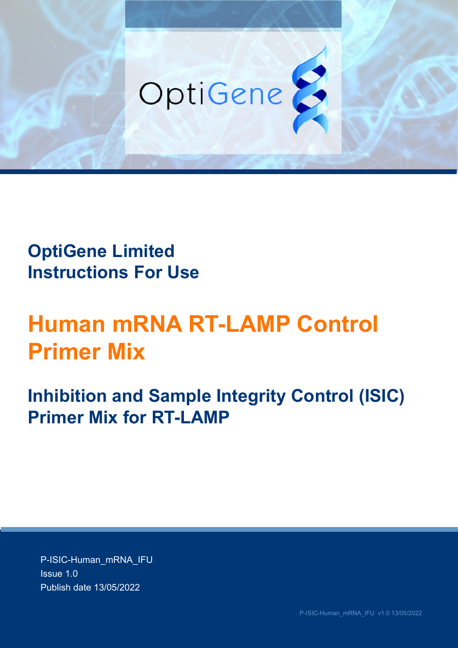

# **OptiGene Limited Instructions For Use**

# **Human mRNA RT-LAMP Control Primer Mix**

**Inhibition and Sample Integrity Control (ISIC) Primer Mix for RT-LAMP**

P-ISIC-Human\_mRNA\_IFU Issue 1.0 Publish date 13/05/2022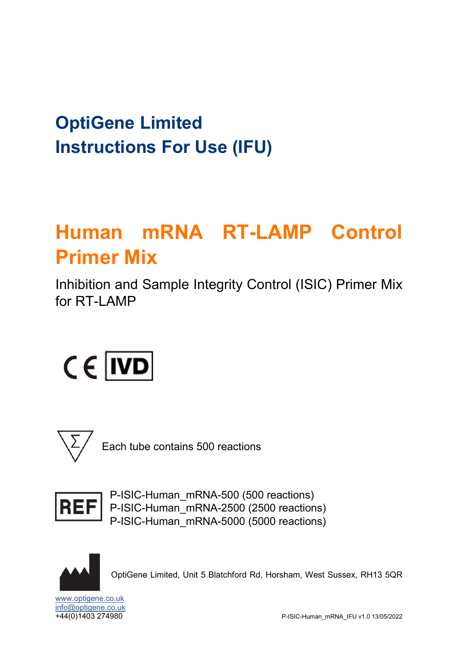# **OptiGene Limited Instructions For Use (IFU)**

# **Human mRNA RT-LAMP Control Primer Mix**

Inhibition and Sample Integrity Control (ISIC) Primer Mix for RT-I AMP

# $C \in |ND|$



Each tube contains 500 reactions



P-ISIC-Human\_mRNA-500 (500 reactions) P-ISIC-Human\_mRNA-2500 (2500 reactions) P-ISIC-Human\_mRNA-5000 (5000 reactions)



OptiGene Limited, Unit 5 Blatchford Rd, Horsham, West Sussex, RH13 5QR

[www.optigene.co.uk](http://www.optigene.co.uk/) [info@optigene.co.uk](mailto:info@optigene.co.uk)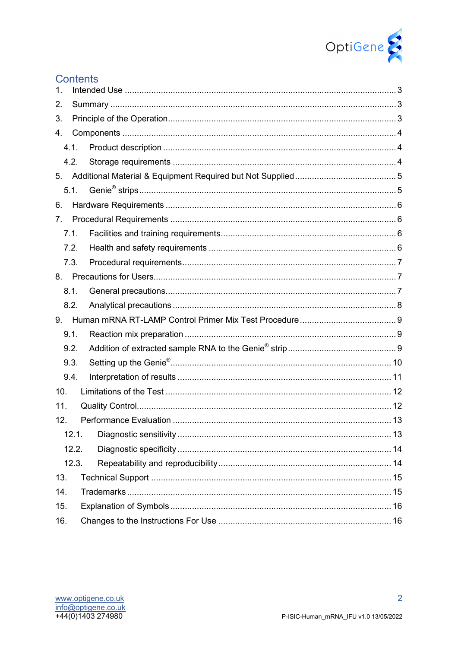

|     | <b>Contents</b> |    |  |
|-----|-----------------|----|--|
| 1.  |                 |    |  |
| 2.  |                 |    |  |
| 3.  |                 |    |  |
| 4.  |                 |    |  |
|     | 4.1.            |    |  |
|     | 4.2.            |    |  |
| 5.  |                 |    |  |
|     | 5.1.            |    |  |
| 6.  |                 |    |  |
| 7.  |                 |    |  |
|     | 7.1.            |    |  |
|     | 7.2.            |    |  |
|     | 7.3.            |    |  |
| 8.  |                 |    |  |
|     | 8.1.            |    |  |
|     | 8.2.            |    |  |
| 9.  |                 |    |  |
|     | 9.1.            |    |  |
|     | 9.2.            |    |  |
|     | 9.3.            |    |  |
|     | 9.4.            |    |  |
| 10. |                 |    |  |
| 11. |                 |    |  |
| 12. |                 | 13 |  |
|     | 12.1.           |    |  |
|     | 12.2.           |    |  |
|     | 12.3.           |    |  |
| 13. |                 |    |  |
| 14. |                 |    |  |
| 15. |                 |    |  |
| 16. |                 |    |  |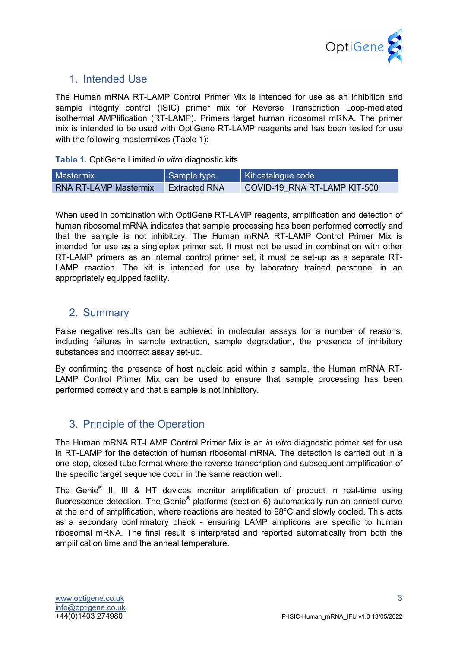

# <span id="page-3-0"></span>1. Intended Use

The Human mRNA RT-LAMP Control Primer Mix is intended for use as an inhibition and sample integrity control (ISIC) primer mix for Reverse Transcription Loop-mediated isothermal AMPlification (RT-LAMP). Primers target human ribosomal mRNA. The primer mix is intended to be used with OptiGene RT-LAMP reagents and has been tested for use with the following mastermixes (Table 1):

**Table 1.** OptiGene Limited *in vitro* diagnostic kits

| Mastermix                    | Sample type          | Kit catalogue code           |
|------------------------------|----------------------|------------------------------|
| <b>RNA RT-LAMP Mastermix</b> | <b>Extracted RNA</b> | COVID-19 RNA RT-LAMP KIT-500 |

When used in combination with OptiGene RT-LAMP reagents, amplification and detection of human ribosomal mRNA indicates that sample processing has been performed correctly and that the sample is not inhibitory. The Human mRNA RT-LAMP Control Primer Mix is intended for use as a singleplex primer set. It must not be used in combination with other RT-LAMP primers as an internal control primer set, it must be set-up as a separate RT-LAMP reaction. The kit is intended for use by laboratory trained personnel in an appropriately equipped facility.

# <span id="page-3-1"></span>2. Summary

False negative results can be achieved in molecular assays for a number of reasons, including failures in sample extraction, sample degradation, the presence of inhibitory substances and incorrect assay set-up.

By confirming the presence of host nucleic acid within a sample, the Human mRNA RT-LAMP Control Primer Mix can be used to ensure that sample processing has been performed correctly and that a sample is not inhibitory.

# <span id="page-3-2"></span>3. Principle of the Operation

The Human mRNA RT-LAMP Control Primer Mix is an *in vitro* diagnostic primer set for use in RT-LAMP for the detection of human ribosomal mRNA. The detection is carried out in a one-step, closed tube format where the reverse transcription and subsequent amplification of the specific target sequence occur in the same reaction well.

The Genie® II, III & HT devices monitor amplification of product in real-time using fluorescence detection. The Genie<sup>®</sup> platforms (section 6) automatically run an anneal curve at the end of amplification, where reactions are heated to 98°C and slowly cooled. This acts as a secondary confirmatory check - ensuring LAMP amplicons are specific to human ribosomal mRNA. The final result is interpreted and reported automatically from both the amplification time and the anneal temperature.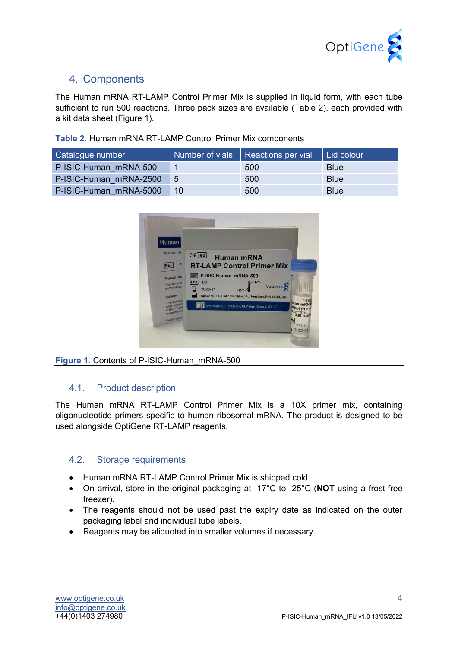

# <span id="page-4-0"></span>4. Components

The Human mRNA RT-LAMP Control Primer Mix is supplied in liquid form, with each tube sufficient to run 500 reactions. Three pack sizes are available (Table 2), each provided with a kit data sheet (Figure 1).

| Catalogue number       |       | Number of vials   Reactions per vial | Lid colour  |
|------------------------|-------|--------------------------------------|-------------|
| P-ISIC-Human mRNA-500  |       | 500                                  | <b>Blue</b> |
| P-ISIC-Human mRNA-2500 | - 5   | 500                                  | <b>Blue</b> |
| P-ISIC-Human mRNA-5000 | $-10$ | 500                                  | <b>Blue</b> |



**Figure 1.** Contents of P-ISIC-Human\_mRNA-500

#### <span id="page-4-1"></span>4.1. Product description

The Human mRNA RT-LAMP Control Primer Mix is a 10X primer mix, containing oligonucleotide primers specific to human ribosomal mRNA. The product is designed to be used alongside OptiGene RT-LAMP reagents.

#### <span id="page-4-2"></span>4.2. Storage requirements

- Human mRNA RT-LAMP Control Primer Mix is shipped cold.
- On arrival, store in the original packaging at -17°C to -25°C (**NOT** using a frost-free freezer).
- The reagents should not be used past the expiry date as indicated on the outer packaging label and individual tube labels.
- Reagents may be aliquoted into smaller volumes if necessary.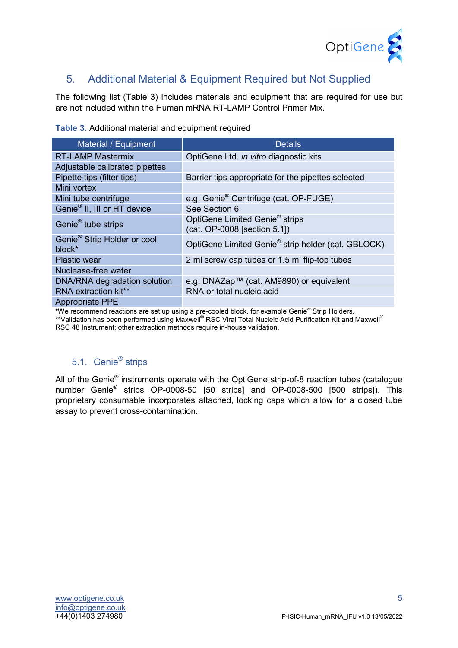

# <span id="page-5-0"></span>5. Additional Material & Equipment Required but Not Supplied

The following list (Table 3) includes materials and equipment that are required for use but are not included within the Human mRNA RT-LAMP Control Primer Mix.

| Material / Equipment                              | <b>Details</b>                                                             |
|---------------------------------------------------|----------------------------------------------------------------------------|
| <b>RT-LAMP Mastermix</b>                          | OptiGene Ltd. in vitro diagnostic kits                                     |
| Adjustable calibrated pipettes                    |                                                                            |
| Pipette tips (filter tips)                        | Barrier tips appropriate for the pipettes selected                         |
| Mini vortex                                       |                                                                            |
| Mini tube centrifuge                              | e.g. Genie <sup>®</sup> Centrifuge (cat. OP-FUGE)                          |
| Genie <sup>®</sup> II, III or HT device           | See Section 6                                                              |
| Genie <sup>®</sup> tube strips                    | OptiGene Limited Genie <sup>®</sup> strips<br>(cat. OP-0008 [section 5.1]) |
| Genie <sup>®</sup> Strip Holder or cool<br>block* | OptiGene Limited Genie® strip holder (cat. GBLOCK)                         |
| <b>Plastic wear</b>                               | 2 ml screw cap tubes or 1.5 ml flip-top tubes                              |
| Nuclease-free water                               |                                                                            |
| DNA/RNA degradation solution                      | e.g. DNAZap™ (cat. AM9890) or equivalent                                   |
| RNA extraction kit**                              | RNA or total nucleic acid                                                  |
| <b>Appropriate PPE</b>                            |                                                                            |

**Table 3.** Additional material and equipment required

\*We recommend reactions are set up using a pre-cooled block, for example Genie® Strip Holders. \*\*Validation has been performed using Maxwell® RSC Viral Total Nucleic Acid Purification Kit and Maxwell® RSC 48 Instrument; other extraction methods require in-house validation.

# 5.1. Genie<sup>®</sup> strips

<span id="page-5-1"></span>All of the Genie<sup>®</sup> instruments operate with the OptiGene strip-of-8 reaction tubes (catalogue number Genie® strips OP-0008-50 [50 strips] and OP-0008-500 [500 strips]). This proprietary consumable incorporates attached, locking caps which allow for a closed tube assay to prevent cross-contamination.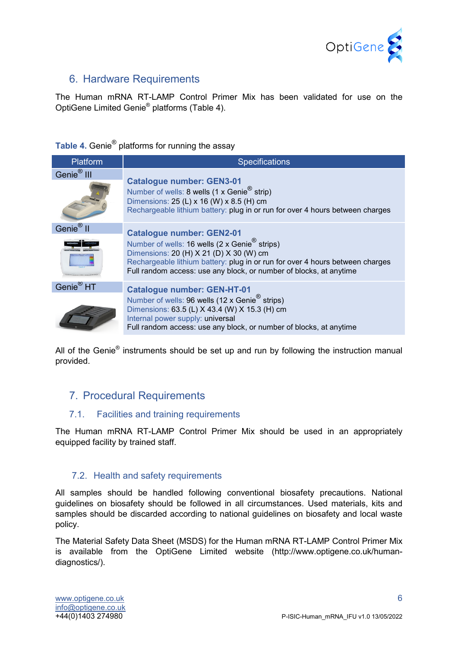

### <span id="page-6-0"></span>6. Hardware Requirements

The Human mRNA RT-LAMP Control Primer Mix has been validated for use on the OptiGene Limited Genie® platforms (Table 4).

# Table 4. Genie<sup>®</sup> platforms for running the assay

| Platform               | <b>Specifications</b>                                                                                                                                                                                                                                                                           |
|------------------------|-------------------------------------------------------------------------------------------------------------------------------------------------------------------------------------------------------------------------------------------------------------------------------------------------|
| Genie <sup>®</sup> III | <b>Catalogue number: GEN3-01</b><br>Number of wells: 8 wells (1 x Genie <sup>®</sup> strip)<br>Dimensions: 25 (L) x 16 (W) x 8.5 (H) cm<br>Rechargeable lithium battery: plug in or run for over 4 hours between charges                                                                        |
| Genie <sup>®</sup> II  | <b>Catalogue number: GEN2-01</b><br>Number of wells: 16 wells (2 x Genie <sup>®</sup> strips)<br>Dimensions: 20 (H) X 21 (D) X 30 (W) cm<br>Rechargeable lithium battery: plug in or run for over 4 hours between charges<br>Full random access: use any block, or number of blocks, at anytime |
| Genie <sup>®</sup> HT  | <b>Catalogue number: GEN-HT-01</b><br>Number of wells: 96 wells (12 x Genie <sup>®</sup> strips)<br>Dimensions: 63.5 (L) X 43.4 (W) X 15.3 (H) cm<br>Internal power supply: universal<br>Full random access: use any block, or number of blocks, at anytime                                     |

All of the Genie<sup>®</sup> instruments should be set up and run by following the instruction manual provided.

## <span id="page-6-1"></span>7. Procedural Requirements

#### <span id="page-6-2"></span>7.1. Facilities and training requirements

The Human mRNA RT-LAMP Control Primer Mix should be used in an appropriately equipped facility by trained staff.

#### <span id="page-6-3"></span>7.2. Health and safety requirements

All samples should be handled following conventional biosafety precautions. National guidelines on biosafety should be followed in all circumstances. Used materials, kits and samples should be discarded according to national guidelines on biosafety and local waste policy.

The Material Safety Data Sheet (MSDS) for the Human mRNA RT-LAMP Control Primer Mix is available from the OptiGene Limited website (http://www.optigene.co.uk/humandiagnostics/).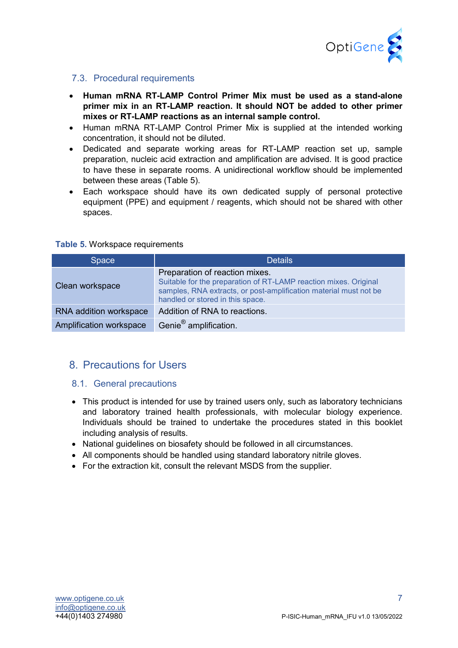

#### <span id="page-7-0"></span>7.3. Procedural requirements

- **Human mRNA RT-LAMP Control Primer Mix must be used as a stand-alone primer mix in an RT-LAMP reaction. It should NOT be added to other primer mixes or RT-LAMP reactions as an internal sample control.**
- Human mRNA RT-LAMP Control Primer Mix is supplied at the intended working concentration, it should not be diluted.
- Dedicated and separate working areas for RT-LAMP reaction set up, sample preparation, nucleic acid extraction and amplification are advised. It is good practice to have these in separate rooms. A unidirectional workflow should be implemented between these areas (Table 5).
- Each workspace should have its own dedicated supply of personal protective equipment (PPE) and equipment / reagents, which should not be shared with other spaces.

#### **Table 5.** Workspace requirements

| Space                   | <b>Details</b>                                                                                                                                                                                              |
|-------------------------|-------------------------------------------------------------------------------------------------------------------------------------------------------------------------------------------------------------|
| Clean workspace         | Preparation of reaction mixes.<br>Suitable for the preparation of RT-LAMP reaction mixes. Original<br>samples, RNA extracts, or post-amplification material must not be<br>handled or stored in this space. |
| RNA addition workspace  | Addition of RNA to reactions.                                                                                                                                                                               |
| Amplification workspace | Genie <sup>®</sup> amplification.                                                                                                                                                                           |

#### <span id="page-7-1"></span>8. Precautions for Users

#### <span id="page-7-2"></span>8.1. General precautions

- This product is intended for use by trained users only, such as laboratory technicians and laboratory trained health professionals, with molecular biology experience. Individuals should be trained to undertake the procedures stated in this booklet including analysis of results.
- National guidelines on biosafety should be followed in all circumstances.
- All components should be handled using standard laboratory nitrile gloves.
- For the extraction kit, consult the relevant MSDS from the supplier.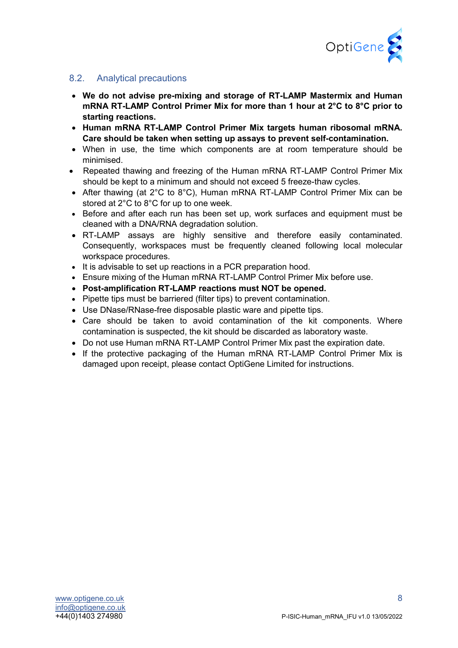

#### <span id="page-8-0"></span>8.2. Analytical precautions

- **We do not advise pre-mixing and storage of RT-LAMP Mastermix and Human mRNA RT-LAMP Control Primer Mix for more than 1 hour at 2°C to 8°C prior to starting reactions.**
- **Human mRNA RT-LAMP Control Primer Mix targets human ribosomal mRNA. Care should be taken when setting up assays to prevent self-contamination.**
- When in use, the time which components are at room temperature should be minimised.
- Repeated thawing and freezing of the Human mRNA RT-LAMP Control Primer Mix should be kept to a minimum and should not exceed 5 freeze-thaw cycles.
- After thawing (at 2°C to 8°C), Human mRNA RT-LAMP Control Primer Mix can be stored at 2°C to 8°C for up to one week.
- Before and after each run has been set up, work surfaces and equipment must be cleaned with a DNA/RNA degradation solution.
- RT-LAMP assays are highly sensitive and therefore easily contaminated. Consequently, workspaces must be frequently cleaned following local molecular workspace procedures.
- It is advisable to set up reactions in a PCR preparation hood.
- Ensure mixing of the Human mRNA RT-LAMP Control Primer Mix before use.
- **Post-amplification RT-LAMP reactions must NOT be opened.**
- Pipette tips must be barriered (filter tips) to prevent contamination.
- Use DNase/RNase-free disposable plastic ware and pipette tips.
- Care should be taken to avoid contamination of the kit components. Where contamination is suspected, the kit should be discarded as laboratory waste.
- Do not use Human mRNA RT-LAMP Control Primer Mix past the expiration date.
- If the protective packaging of the Human mRNA RT-LAMP Control Primer Mix is damaged upon receipt, please contact OptiGene Limited for instructions.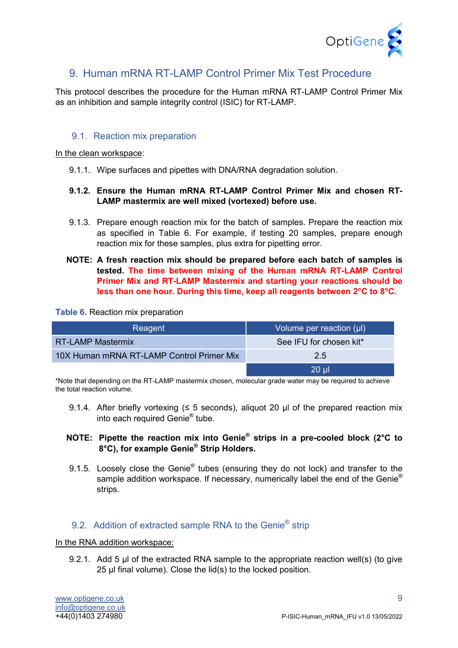

# <span id="page-9-0"></span>9. Human mRNA RT-I AMP Control Primer Mix Test Procedure

This protocol describes the procedure for the Human mRNA RT-LAMP Control Primer Mix as an inhibition and sample integrity control (ISIC) for RT-LAMP.

#### <span id="page-9-1"></span>9.1. Reaction mix preparation

#### In the clean workspace:

9.1.1. Wipe surfaces and pipettes with DNA/RNA degradation solution.

#### **9.1.2. Ensure the Human mRNA RT-LAMP Control Primer Mix and chosen RT-LAMP mastermix are well mixed (vortexed) before use.**

- 9.1.3. Prepare enough reaction mix for the batch of samples. Prepare the reaction mix as specified in Table 6. For example, if testing 20 samples, prepare enough reaction mix for these samples, plus extra for pipetting error.
- **NOTE: A fresh reaction mix should be prepared before each batch of samples is tested. The time between mixing of the Human mRNA RT-LAMP Control Primer Mix and RT-LAMP Mastermix and starting your reactions should be less than one hour. During this time, keep all reagents between 2°C to 8°C.**

#### **Table 6.** Reaction mix preparation

| Reagent                                   | Volume per reaction $(\mu\mathsf{I})$ |
|-------------------------------------------|---------------------------------------|
| <b>RT-LAMP Mastermix</b>                  | See IFU for chosen kit*               |
| 10X Human mRNA RT-LAMP Control Primer Mix | 2.5                                   |
|                                           | 20 ul                                 |

\*Note that depending on the RT-LAMP mastermix chosen, molecular grade water may be required to achieve the total reaction volume.

9.1.4. After briefly vortexing ( $\leq$  5 seconds), aliquot 20 µl of the prepared reaction mix into each required Genie® tube.

#### **NOTE: Pipette the reaction mix into Genie® strips in a pre-cooled block (2°C to 8°C), for example Genie® Strip Holders.**

9.1.5. Loosely close the Genie<sup>®</sup> tubes (ensuring they do not lock) and transfer to the sample addition workspace. If necessary, numerically label the end of the Genie<sup>®</sup> strips.

#### <span id="page-9-2"></span>9.2. Addition of extracted sample RNA to the Genie<sup>®</sup> strip

#### In the RNA addition workspace:

9.2.1. Add 5 µl of the extracted RNA sample to the appropriate reaction well(s) (to give 25 µl final volume). Close the lid(s) to the locked position.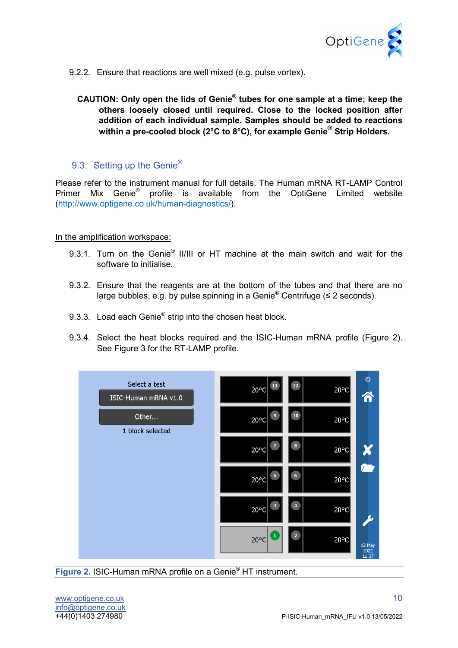

- 9.2.2. Ensure that reactions are well mixed (e.g. pulse vortex).
	- **CAUTION: Only open the lids of Genie® tubes for one sample at a time; keep the others loosely closed until required. Close to the locked position after addition of each individual sample. Samples should be added to reactions within a pre-cooled block (2°C to 8°C), for example Genie® Strip Holders.**

#### <span id="page-10-0"></span>9.3. Setting up the Genie<sup>®</sup>

Please refer to the instrument manual for full details. The Human mRNA RT-LAMP Control Primer Mix Genie® profile is available from the OptiGene Limited website (http://www.optigene.co.uk/human-diagnostics/).

In the amplification workspace:

- 9.3.1. Turn on the Genie<sup>®</sup> II/III or HT machine at the main switch and wait for the software to initialise.
- 9.3.2. Ensure that the reagents are at the bottom of the tubes and that there are no large bubbles, e.g. by pulse spinning in a Genie<sup>®</sup> Centrifuge ( $\leq 2$  seconds).
- 9.3.3. Load each Genie<sup>®</sup> strip into the chosen heat block.
- 9.3.4. Select the heat blocks required and the ISIC-Human mRNA profile (Figure 2). See Figure 3 for the RT-LAMP profile.



**Figure 2.** ISIC-Human mRNA profile on a Genie® HT instrument.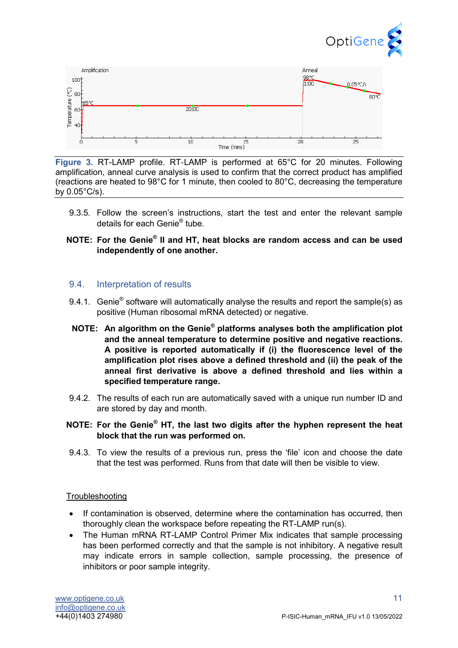



**Figure 3.** RT-LAMP profile. RT‐LAMP is performed at 65°C for 20 minutes. Following amplification, anneal curve analysis is used to confirm that the correct product has amplified (reactions are heated to 98°C for 1 minute, then cooled to 80°C, decreasing the temperature by 0.05°C/s).

- 9.3.5. Follow the screen's instructions, start the test and enter the relevant sample details for each Genie® tube.
- **NOTE: For the Genie® II and HT, heat blocks are random access and can be used independently of one another.**

#### <span id="page-11-0"></span>9.4. Interpretation of results

- 9.4.1. Genie<sup>®</sup> software will automatically analyse the results and report the sample(s) as positive (Human ribosomal mRNA detected) or negative.
- **NOTE: An algorithm on the Genie® platforms analyses both the amplification plot and the anneal temperature to determine positive and negative reactions. A positive is reported automatically if (i) the fluorescence level of the amplification plot rises above a defined threshold and (ii) the peak of the anneal first derivative is above a defined threshold and lies within a specified temperature range.**
- 9.4.2. The results of each run are automatically saved with a unique run number ID and are stored by day and month.
- **NOTE: For the Genie® HT, the last two digits after the hyphen represent the heat block that the run was performed on.**
- 9.4.3. To view the results of a previous run, press the 'file' icon and choose the date that the test was performed. Runs from that date will then be visible to view.

#### **Troubleshooting**

- If contamination is observed, determine where the contamination has occurred, then thoroughly clean the workspace before repeating the RT-LAMP run(s).
- The Human mRNA RT-LAMP Control Primer Mix indicates that sample processing has been performed correctly and that the sample is not inhibitory. A negative result may indicate errors in sample collection, sample processing, the presence of inhibitors or poor sample integrity.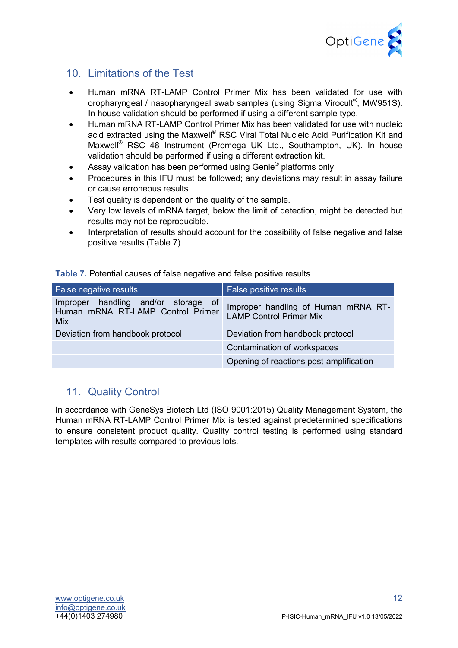

# <span id="page-12-0"></span>10. Limitations of the Test

- Human mRNA RT-LAMP Control Primer Mix has been validated for use with oropharyngeal / nasopharyngeal swab samples (using Sigma Virocult<sup>®</sup>, MW951S). In house validation should be performed if using a different sample type.
- Human mRNA RT-LAMP Control Primer Mix has been validated for use with nucleic acid extracted using the Maxwell<sup>®</sup> RSC Viral Total Nucleic Acid Purification Kit and Maxwell® RSC 48 Instrument (Promega UK Ltd., Southampton, UK). In house validation should be performed if using a different extraction kit.
- Assay validation has been performed using Genie<sup>®</sup> platforms only.
- Procedures in this IFU must be followed; any deviations may result in assay failure or cause erroneous results.
- Test quality is dependent on the quality of the sample.
- Very low levels of mRNA target, below the limit of detection, might be detected but results may not be reproducible.
- Interpretation of results should account for the possibility of false negative and false positive results (Table 7).

|  | <b>Table 7.</b> Potential causes of false negative and false positive results |  |
|--|-------------------------------------------------------------------------------|--|
|  |                                                                               |  |

| <b>False negative results</b>                                                   | False positive results                                                |
|---------------------------------------------------------------------------------|-----------------------------------------------------------------------|
| Improper handling and/or storage of<br>Human mRNA RT-LAMP Control Primer<br>Mix | Improper handling of Human mRNA RT-<br><b>LAMP Control Primer Mix</b> |
| Deviation from handbook protocol                                                | Deviation from handbook protocol                                      |
|                                                                                 | Contamination of workspaces                                           |
|                                                                                 | Opening of reactions post-amplification                               |

# <span id="page-12-1"></span>11. Quality Control

In accordance with GeneSys Biotech Ltd (ISO 9001:2015) Quality Management System, the Human mRNA RT-LAMP Control Primer Mix is tested against predetermined specifications to ensure consistent product quality. Quality control testing is performed using standard templates with results compared to previous lots.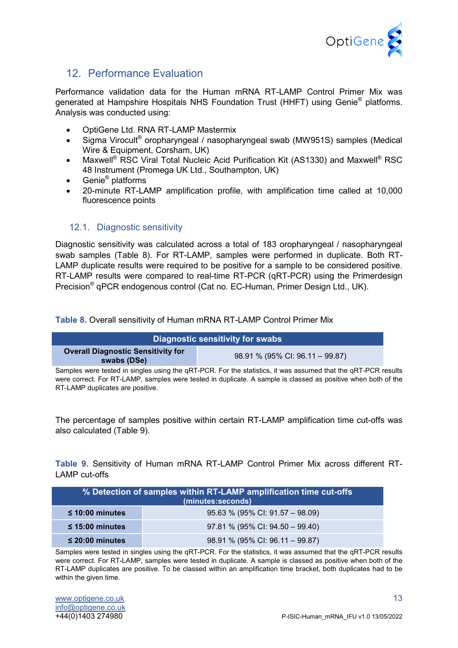

# <span id="page-13-0"></span>12. Performance Evaluation

Performance validation data for the Human mRNA RT-LAMP Control Primer Mix was generated at Hampshire Hospitals NHS Foundation Trust (HHFT) using Genie® platforms. Analysis was conducted using:

- OptiGene Ltd. RNA RT-LAMP Mastermix
- Sigma Virocult® oropharyngeal / nasopharyngeal swab (MW951S) samples (Medical Wire & Equipment, Corsham, UK)
- Maxwell<sup>®</sup> RSC Viral Total Nucleic Acid Purification Kit (AS1330) and Maxwell<sup>®</sup> RSC 48 Instrument (Promega UK Ltd., Southampton, UK)
- Genie<sup>®</sup> platforms
- 20-minute RT-LAMP amplification profile, with amplification time called at 10,000 fluorescence points

#### <span id="page-13-1"></span>12.1. Diagnostic sensitivity

Diagnostic sensitivity was calculated across a total of 183 oropharyngeal / nasopharyngeal swab samples (Table 8). For RT-LAMP, samples were performed in duplicate. Both RT-LAMP duplicate results were required to be positive for a sample to be considered positive. RT-LAMP results were compared to real-time RT-PCR (qRT-PCR) using the Primerdesign Precision® qPCR endogenous control (Cat no. EC-Human, Primer Design Ltd., UK).

**Table 8.** Overall sensitivity of Human mRNA RT-LAMP Control Primer Mix

| Diagnostic sensitivity for swabs                         |                                 |  |  |
|----------------------------------------------------------|---------------------------------|--|--|
| <b>Overall Diagnostic Sensitivity for</b><br>swabs (DSe) | 98.91 % (95% CI: 96.11 - 99.87) |  |  |
| .                                                        | .                               |  |  |

Samples were tested in singles using the qRT-PCR. For the statistics, it was assumed that the qRT-PCR results were correct. For RT-LAMP, samples were tested in duplicate. A sample is classed as positive when both of the RT-LAMP duplicates are positive.

The percentage of samples positive within certain RT-LAMP amplification time cut-offs was also calculated (Table 9).

**Table 9.** Sensitivity of Human mRNA RT-LAMP Control Primer Mix across different RT-LAMP cut-offs

| % Detection of samples within RT-LAMP amplification time cut-offs<br>(minutes:seconds) |                                 |  |
|----------------------------------------------------------------------------------------|---------------------------------|--|
| $\leq$ 10:00 minutes                                                                   | 95.63 % (95% CI: 91.57 - 98.09) |  |
| $\leq$ 15:00 minutes                                                                   | 97.81 % (95% CI: 94.50 - 99.40) |  |
| $\leq$ 20:00 minutes                                                                   | 98.91 % (95% CI: 96.11 - 99.87) |  |

Samples were tested in singles using the qRT-PCR. For the statistics, it was assumed that the qRT-PCR results were correct. For RT-LAMP, samples were tested in duplicate. A sample is classed as positive when both of the RT-LAMP duplicates are positive. To be classed within an amplification time bracket, both duplicates had to be within the given time.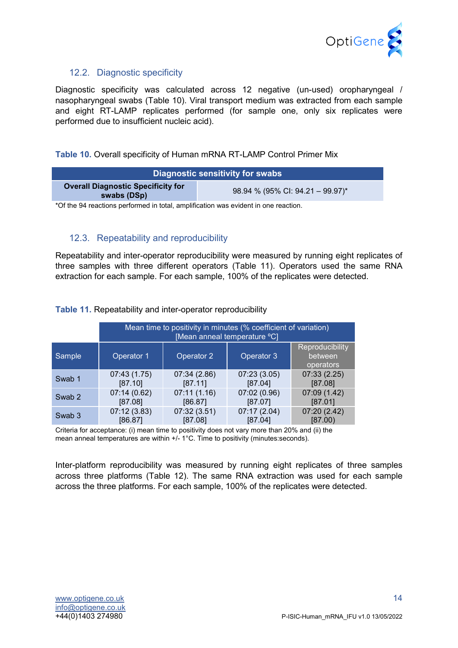

#### <span id="page-14-0"></span>12.2. Diagnostic specificity

Diagnostic specificity was calculated across 12 negative (un-used) oropharyngeal / nasopharyngeal swabs (Table 10). Viral transport medium was extracted from each sample and eight RT-LAMP replicates performed (for sample one, only six replicates were performed due to insufficient nucleic acid).

#### **Table 10.** Overall specificity of Human mRNA RT-LAMP Control Primer Mix

| Diagnostic sensitivity for swabs                         |                                  |  |
|----------------------------------------------------------|----------------------------------|--|
| <b>Overall Diagnostic Specificity for</b><br>swabs (DSp) | 98.94 % (95% CI: 94.21 - 99.97)* |  |

\*Of the 94 reactions performed in total, amplification was evident in one reaction.

#### <span id="page-14-1"></span>12.3. Repeatability and reproducibility

Repeatability and inter-operator reproducibility were measured by running eight replicates of three samples with three different operators (Table 11). Operators used the same RNA extraction for each sample. For each sample, 100% of the replicates were detected.

#### **Table 11.** Repeatability and inter-operator reproducibility

|                   | Mean time to positivity in minutes (% coefficient of variation)<br>[Mean anneal temperature <sup>o</sup> C] |              |              |                                         |
|-------------------|-------------------------------------------------------------------------------------------------------------|--------------|--------------|-----------------------------------------|
| Sample            | Operator 1                                                                                                  | Operator 2   | Operator 3   | Reproducibility<br>between<br>operators |
| Swab 1            | 07:43(1.75)                                                                                                 | 07:34 (2.86) | 07:23(3.05)  | 07:33(2.25)                             |
|                   | [87.10]                                                                                                     | [87.11]      | [87.04]      | [87.08]                                 |
| Swab 2            | 07:14(0.62)                                                                                                 | 07:11(1.16)  | 07:02 (0.96) | 07:09 (1.42)                            |
|                   | [87.08]                                                                                                     | [86.87]      | [87.07]      | [87.01]                                 |
| Swab <sub>3</sub> | 07:12(3.83)                                                                                                 | 07:32(3.51)  | 07:17 (2.04) | 07:20 (2.42)                            |
|                   | [86.87]                                                                                                     | [87.08]      | [87.04]      | [87.00)                                 |

Criteria for acceptance: (i) mean time to positivity does not vary more than 20% and (ii) the mean anneal temperatures are within +/- 1°C. Time to positivity (minutes:seconds).

Inter-platform reproducibility was measured by running eight replicates of three samples across three platforms (Table 12). The same RNA extraction was used for each sample across the three platforms. For each sample, 100% of the replicates were detected.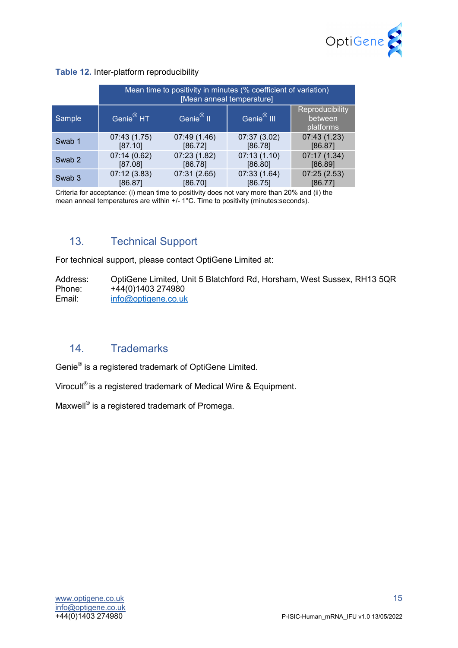

#### **Table 12.** Inter-platform reproducibility

|        | Mean time to positivity in minutes (% coefficient of variation)<br>[Mean anneal temperature] |                       |                        |                                         |
|--------|----------------------------------------------------------------------------------------------|-----------------------|------------------------|-----------------------------------------|
| Sample | Genie <sup>®</sup> HT                                                                        | Genie <sup>®</sup> II | Genie <sup>®</sup> III | Reproducibility<br>between<br>platforms |
| Swab 1 | 07:43(1.75)                                                                                  | 07:49 (1.46)          | 07:37 (3.02)           | 07:43 (1.23)                            |
|        | [87.10]                                                                                      | [86.72]               | [86.78]                | [86.87]                                 |
| Swab 2 | 07:14(0.62)                                                                                  | 07:23 (1.82)          | 07:13(1.10)            | 07:17 (1.34)                            |
|        | [87.08]                                                                                      | [86.78]               | [86.80]                | [86.89]                                 |
| Swab 3 | 07:12(3.83)                                                                                  | 07:31 (2.65)          | 07:33 (1.64)           | 07:25(2.53)                             |
|        | [86.87]                                                                                      | [86.70]               | [86.75]                | [86.77]                                 |

Criteria for acceptance: (i) mean time to positivity does not vary more than 20% and (ii) the mean anneal temperatures are within +/- 1°C. Time to positivity (minutes:seconds).

# <span id="page-15-0"></span>13. Technical Support

For technical support, please contact OptiGene Limited at:

Address: OptiGene Limited, Unit 5 Blatchford Rd, Horsham, West Sussex, RH13 5QR<br>Phone: +44(0)1403 274980 Phone: +44(0)1403 274980<br>Email: info@optigene.co.uk [info@optigene.co.uk](mailto:info@optigene.co.uk)

# <span id="page-15-1"></span>14. Trademarks

Genie® is a registered trademark of OptiGene Limited.

Virocult® is a registered trademark of Medical Wire & Equipment.

Maxwell<sup>®</sup> is a registered trademark of Promega.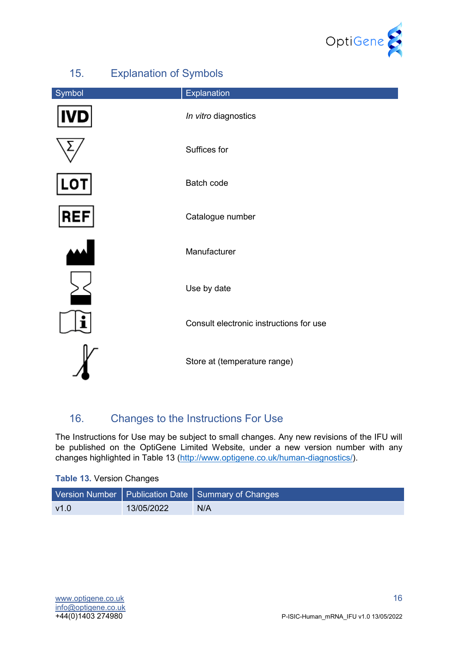

<span id="page-16-0"></span>

| $\mathsf{I} \cup \mathsf{I}$ | <b>LAPIGHQUUT VI UYIHDUIS</b>           |  |
|------------------------------|-----------------------------------------|--|
| Symbol                       | Explanation                             |  |
|                              | In vitro diagnostics                    |  |
|                              | Suffices for                            |  |
|                              | <b>Batch code</b>                       |  |
| <b>REF</b>                   | Catalogue number                        |  |
|                              | Manufacturer                            |  |
|                              | Use by date                             |  |
|                              | Consult electronic instructions for use |  |
|                              | Store at (temperature range)            |  |

# 15. Explanation of Symbols

# <span id="page-16-1"></span>16. Changes to the Instructions For Use

The Instructions for Use may be subject to small changes. Any new revisions of the IFU will be published on the OptiGene Limited Website, under a new version number with any changes highlighted in Table 13 [\(http://www.optigene.co.uk/human-diagnostics/\)](http://www.optigene.co.uk/human-diagnostics/).

#### **Table 13.** Version Changes

|      |            | Version Number   Publication Date   Summary of Changes |
|------|------------|--------------------------------------------------------|
| v1.0 | 13/05/2022 | N/A                                                    |